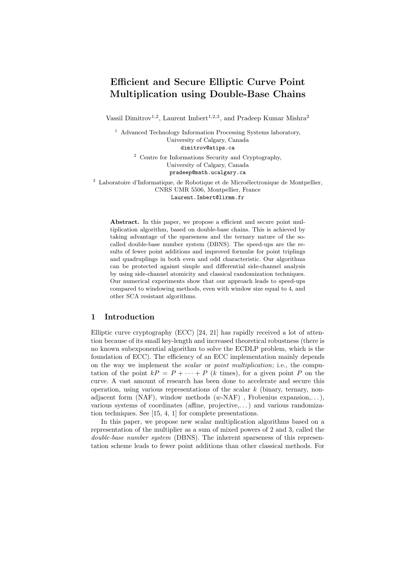## Efficient and Secure Elliptic Curve Point Multiplication using Double-Base Chains

Vassil Dimitrov<sup>1,2</sup>, Laurent Imbert<sup>1,2,3</sup>, and Pradeep Kumar Mishra<sup>2</sup>

<sup>1</sup> Advanced Technology Information Processing Systems laboratory, University of Calgary, Canada dimitrov@atips.ca

> <sup>2</sup> Centre for Informations Security and Cryptography, University of Calgary, Canada pradeep@math.ucalgary.ca

 $3$  Laboratoire d'Informatique, de Robotique et de Microélectronique de Montpellier, CNRS UMR 5506, Montpellier, France Laurent.Imbert@lirmm.fr

Abstract. In this paper, we propose a efficient and secure point multiplication algorithm, based on double-base chains. This is achieved by taking advantage of the sparseness and the ternary nature of the socalled double-base number system (DBNS). The speed-ups are the results of fewer point additions and improved formulæ for point triplings and quadruplings in both even and odd characteristic. Our algorithms can be protected against simple and differential side-channel analysis by using side-channel atomicity and classical randomization techniques. Our numerical experiments show that our approach leads to speed-ups compared to windowing methods, even with window size equal to 4, and other SCA resistant algorithms.

## 1 Introduction

Elliptic curve cryptography (ECC) [24, 21] has rapidly received a lot of attention because of its small key-length and increased theoretical robustness (there is no known subexponential algorithm to solve the ECDLP problem, which is the foundation of ECC). The efficiency of an ECC implementation mainly depends on the way we implement the scalar or point multiplication; i.e., the computation of the point  $kP = P + \cdots + P$  (k times), for a given point P on the curve. A vast amount of research has been done to accelerate and secure this operation, using various representations of the scalar  $k$  (binary, ternary, nonadjacent form (NAF), window methods  $(w\text{-NAF})$ , Frobenius expansion,...), various systems of coordinates (affine, projective,. . . ) and various randomization techniques. See [15, 4, 1] for complete presentations.

In this paper, we propose new scalar multiplication algorithms based on a representation of the multiplier as a sum of mixed powers of 2 and 3, called the double-base number system (DBNS). The inherent sparseness of this representation scheme leads to fewer point additions than other classical methods. For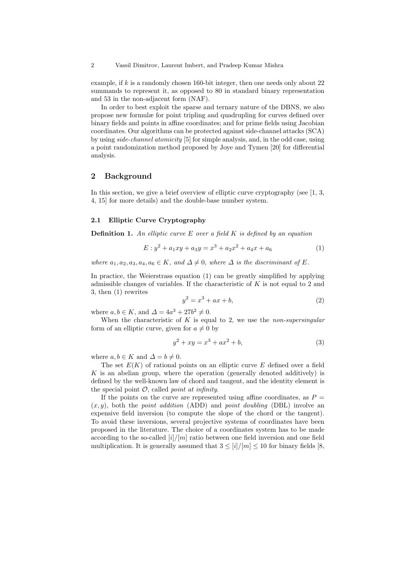example, if k is a randomly chosen 160-bit integer, then one needs only about 22 summands to represent it, as opposed to 80 in standard binary representation and 53 in the non-adjacent form (NAF).

In order to best exploit the sparse and ternary nature of the DBNS, we also propose new formulæ for point tripling and quadrupling for curves defined over binary fields and points in affine coordinates; and for prime fields using Jacobian coordinates. Our algorithms can be protected against side-channel attacks (SCA) by using side-channel atomicity [5] for simple analysis, and, in the odd case, using a point randomization method proposed by Joye and Tymen [20] for differential analysis.

## 2 Background

In this section, we give a brief overview of elliptic curve cryptography (see [1, 3, 4, 15] for more details) and the double-base number system.

## 2.1 Elliptic Curve Cryptography

**Definition 1.** An elliptic curve  $E$  over a field  $K$  is defined by an equation

$$
E: y^2 + a_1xy + a_3y = x^3 + a_2x^2 + a_4x + a_6 \tag{1}
$$

where  $a_1, a_2, a_3, a_4, a_6 \in K$ , and  $\Delta \neq 0$ , where  $\Delta$  is the discriminant of E.

In practice, the Weierstrass equation (1) can be greatly simplified by applying admissible changes of variables. If the characteristic of  $K$  is not equal to 2 and 3, then (1) rewrites

$$
y^2 = x^3 + ax + b,\t\t(2)
$$

where  $a, b \in K$ , and  $\Delta = 4a^3 + 27b^2 \neq 0$ .

When the characteristic of  $K$  is equal to 2, we use the *non-supersingular* form of an elliptic curve, given for  $a \neq 0$  by

$$
y^2 + xy = x^3 + ax^2 + b,\t\t(3)
$$

where  $a, b \in K$  and  $\Delta = b \neq 0$ .

The set  $E(K)$  of rational points on an elliptic curve E defined over a field K is an abelian group, where the operation (generally denoted additively) is defined by the well-known law of chord and tangent, and the identity element is the special point  $O$ , called *point at infinity*.

If the points on the curve are represented using affine coordinates, as  $P =$  $(x, y)$ , both the *point addition* (ADD) and *point doubling* (DBL) involve an expensive field inversion (to compute the slope of the chord or the tangent). To avoid these inversions, several projective systems of coordinates have been proposed in the literature. The choice of a coordinates system has to be made according to the so-called  $[i]/[m]$  ratio between one field inversion and one field multiplication. It is generally assumed that  $3 \leq |i|/|m| \leq 10$  for binary fields [8,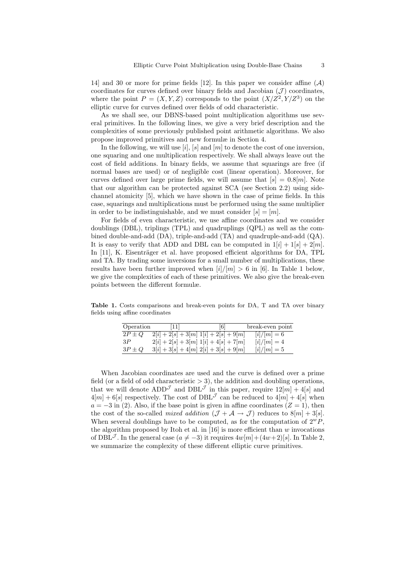14] and 30 or more for prime fields [12]. In this paper we consider affine  $(A)$ coordinates for curves defined over binary fields and Jacobian  $(\mathcal{J})$  coordinates, where the point  $P = (X, Y, Z)$  corresponds to the point  $(X/Z^2, Y/Z^3)$  on the elliptic curve for curves defined over fields of odd characteristic.

As we shall see, our DBNS-based point multiplication algorithms use several primitives. In the following lines, we give a very brief description and the complexities of some previously published point arithmetic algorithms. We also propose improved primitives and new formulæ in Section 4.

In the following, we will use  $[i], [s]$  and  $[m]$  to denote the cost of one inversion, one squaring and one multiplication respectively. We shall always leave out the cost of field additions. In binary fields, we assume that squarings are free (if normal bases are used) or of negligible cost (linear operation). Moreover, for curves defined over large prime fields, we will assume that  $[s] = 0.8[m]$ . Note that our algorithm can be protected against SCA (see Section 2.2) using sidechannel atomicity [5], which we have shown in the case of prime fields. In this case, squarings and multiplications must be performed using the same multiplier in order to be indistinguishable, and we must consider  $[s] = [m]$ .

For fields of even characteristic, we use affine coordinates and we consider doublings (DBL), triplings (TPL) and quadruplings (QPL) as well as the combined double-and-add (DA), triple-and-add (TA) and quadruple-and-add (QA). It is easy to verify that ADD and DBL can be computed in  $1[i] + 1[s] + 2[m]$ . In [11], K. Eisenträger et al. have proposed efficient algorithms for DA, TPL and TA. By trading some inversions for a small number of multiplications, these results have been further improved when  $[i]/[m] > 6$  in [6]. In Table 1 below, we give the complexities of each of these primitives. We also give the break-even points between the different formulæ.

Table 1. Costs comparisons and break-even points for DA, T and TA over binary fields using affine coordinates

| Operation  | 11                                      | $\lceil 6 \rceil$ | break-even point |
|------------|-----------------------------------------|-------------------|------------------|
| $2P \pm Q$ | $2 i  + 2 s  + 3 m  1 i  + 2 s  + 9 m $ |                   | $[i]/[m] = 6$    |
| 3P         | $2[i] + 2[s] + 3[m] 1[i] + 4[s] + 7[m]$ |                   | $[i]/[m] = 4$    |
| $3P \pm Q$ | $3 i  + 3 s  + 4 m  2 i  + 3 s  + 9 m $ |                   | $[i]/[m] = 5$    |

When Jacobian coordinates are used and the curve is defined over a prime field (or a field of odd characteristic  $> 3$ ), the addition and doubling operations, that we will denote  $ADD^{\mathcal{J}}$  and  $DBL^{\mathcal{J}}$  in this paper, require  $12[m] + 4[s]$  and  $4[m] + 6[s]$  respectively. The cost of DBL<sup>J</sup> can be reduced to  $4[m] + 4[s]$  when  $a = -3$  in (2). Also, if the base point is given in affine coordinates ( $Z = 1$ ), then the cost of the so-called mixed addition  $(\mathcal{J} + \mathcal{A} \to \mathcal{J})$  reduces to  $8[m] + 3[s]$ . When several doublings have to be computed, as for the computation of  $2^w P$ . the algorithm proposed by Itoh et al. in  $[16]$  is more efficient than w invocations of DBL<sup>J</sup>. In the general case  $(a \neq -3)$  it requires  $4w[m]+(4w+2)[s]$ . In Table 2, we summarize the complexity of these different elliptic curve primitives.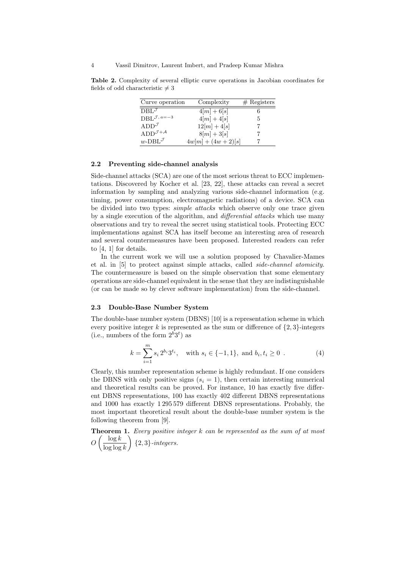Table 2. Complexity of several elliptic curve operations in Jacobian coordinates for fields of odd characteristic  $\neq 3$ 

| Curve operation                 | Complexity            | $#$ Registers |
|---------------------------------|-----------------------|---------------|
| $DBL^{\mathcal{J}}$             | $4[m] + 6[s]$         |               |
| $\text{DBL}^{\mathcal{J},a=-3}$ | $4[m] + 4[s]$         | 5             |
| ADD <sup><math>J</math></sup>   | $12[m] + 4[s]$        |               |
| $ADD^{\mathcal{J}+\mathcal{A}}$ | $8[m]+3[s]$           |               |
| $w$ -DBL $^{\mathcal{J}}$       | $4w[m] + (4w + 2)[s]$ |               |

#### 2.2 Preventing side-channel analysis

Side-channel attacks (SCA) are one of the most serious threat to ECC implementations. Discovered by Kocher et al. [23, 22], these attacks can reveal a secret information by sampling and analyzing various side-channel information (e.g. timing, power consumption, electromagnetic radiations) of a device. SCA can be divided into two types: *simple attacks* which observe only one trace given by a single execution of the algorithm, and differential attacks which use many observations and try to reveal the secret using statistical tools. Protecting ECC implementations against SCA has itself become an interesting area of research and several countermeasures have been proposed. Interested readers can refer to [4, 1] for details.

In the current work we will use a solution proposed by Chavalier-Mames et al. in [5] to protect against simple attacks, called side-channel atomicity. The countermeasure is based on the simple observation that some elementary operations are side-channel equivalent in the sense that they are indistinguishable (or can be made so by clever software implementation) from the side-channel.

#### 2.3 Double-Base Number System

The double-base number system (DBNS) [10] is a representation scheme in which every positive integer k is represented as the sum or difference of  $\{2,3\}$ -integers (i.e., numbers of the form  $2^{b}3^{t}$ ) as

$$
k = \sum_{i=1}^{m} s_i 2^{b_i} 3^{t_i}, \text{ with } s_i \in \{-1, 1\}, \text{ and } b_i, t_i \ge 0 \tag{4}
$$

Clearly, this number representation scheme is highly redundant. If one considers the DBNS with only positive signs  $(s_i = 1)$ , then certain interesting numerical and theoretical results can be proved. For instance, 10 has exactly five different DBNS representations, 100 has exactly 402 different DBNS representations and 1000 has exactly 1 295 579 different DBNS representations. Probably, the most important theoretical result about the double-base number system is the following theorem from [9].

**Theorem 1.** Every positive integer  $k$  can be represented as the sum of at most  $O\left(\frac{\log k}{1-\epsilon}\right)$  $\log \log k$  $\Big\}$  {2, 3}-integers.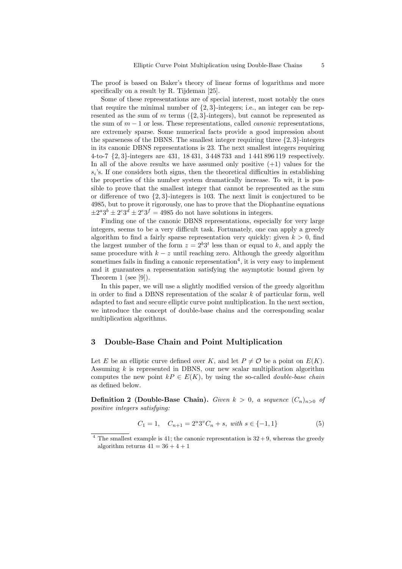The proof is based on Baker's theory of linear forms of logarithms and more specifically on a result by R. Tijdeman [25].

Some of these representations are of special interest, most notably the ones that require the minimal number of  $\{2, 3\}$ -integers; i.e., an integer can be represented as the sum of m terms  $({2, 3}$ -integers), but cannot be represented as the sum of  $m-1$  or less. These representations, called *canonic* representations, are extremely sparse. Some numerical facts provide a good impression about the sparseness of the DBNS. The smallest integer requiring three  $\{2, 3\}$ -integers in its canonic DBNS representations is 23. The next smallest integers requiring 4-to-7 {2, 3}-integers are 431, 18 431, 3 448 733 and 1 441 896 119 respectively. In all of the above results we have assumed only positive  $(+1)$  values for the  $s_i$ 's. If one considers both signs, then the theoretical difficulties in establishing the properties of this number system dramatically increase. To wit, it is possible to prove that the smallest integer that cannot be represented as the sum or difference of two {2, 3}-integers is 103. The next limit is conjectured to be 4985, but to prove it rigorously, one has to prove that the Diophantine equations  $\pm 2^a 3^b \pm 2^c 3^d \pm 2^e 3^f = 4985$  do not have solutions in integers.

Finding one of the canonic DBNS representations, especially for very large integers, seems to be a very difficult task. Fortunately, one can apply a greedy algorithm to find a fairly sparse representation very quickly: given  $k > 0$ , find the largest number of the form  $z = 2^b 3^t$  less than or equal to k, and apply the same procedure with  $k - z$  until reaching zero. Although the greedy algorithm sometimes fails in finding a canonic representation<sup>4</sup>, it is very easy to implement and it guarantees a representation satisfying the asymptotic bound given by Theorem 1 (see [9]).

In this paper, we will use a slightly modified version of the greedy algorithm in order to find a DBNS representation of the scalar  $k$  of particular form, well adapted to fast and secure elliptic curve point multiplication. In the next section, we introduce the concept of double-base chains and the corresponding scalar multiplication algorithms.

## 3 Double-Base Chain and Point Multiplication

Let E be an elliptic curve defined over K, and let  $P \neq \mathcal{O}$  be a point on  $E(K)$ . Assuming k is represented in DBNS, our new scalar multiplication algorithm computes the new point  $kP \in E(K)$ , by using the so-called *double-base chain* as defined below.

**Definition 2 (Double-Base Chain).** Given  $k > 0$ , a sequence  $(C_n)_{n>0}$  of positive integers satisfying:

$$
C_1 = 1, \quad C_{n+1} = 2^u 3^v C_n + s, \text{ with } s \in \{-1, 1\}
$$
 (5)

<sup>&</sup>lt;sup>4</sup> The smallest example is 41; the canonic representation is  $32 + 9$ , whereas the greedy algorithm returns  $41 = 36 + 4 + 1$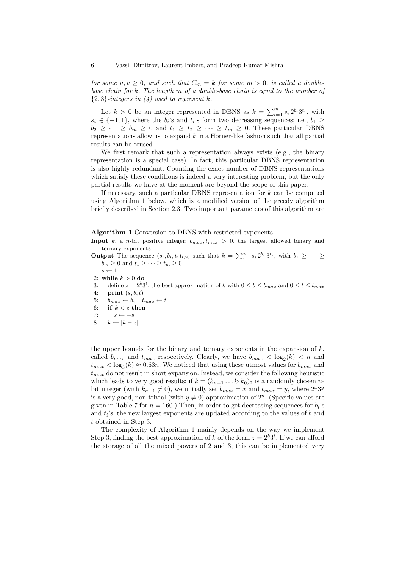for some  $u, v \geq 0$ , and such that  $C_m = k$  for some  $m > 0$ , is called a doublebase chain for k. The length m of a double-base chain is equal to the number of  ${2, 3}$ -integers in  $(4)$  used to represent k.

Let  $k > 0$  be an integer represented in DBNS as  $k = \sum_{i=1}^{m} s_i 2^{b_i} 3^{t_i}$ , with  $s_i \in \{-1,1\}$ , where the  $b_i$ 's and  $t_i$ 's form two decreasing sequences; i.e.,  $b_1 \geq$  $b_2 \geq \cdots \geq b_m \geq 0$  and  $t_1 \geq t_2 \geq \cdots \geq t_m \geq 0$ . These particular DBNS representations allow us to expand  $k$  in a Horner-like fashion such that all partial results can be reused.

We first remark that such a representation always exists (e.g., the binary representation is a special case). In fact, this particular DBNS representation is also highly redundant. Counting the exact number of DBNS representations which satisfy these conditions is indeed a very interesting problem, but the only partial results we have at the moment are beyond the scope of this paper.

If necessary, such a particular DBNS representation for  $k$  can be computed using Algorithm 1 below, which is a modified version of the greedy algorithm briefly described in Section 2.3. Two important parameters of this algorithm are

Algorithm 1 Conversion to DBNS with restricted exponents

**Input** k, a n-bit positive integer;  $b_{max}, t_{max} > 0$ , the largest allowed binary and ternary exponents

**Output** The sequence  $(s_i, b_i, t_i)_{i>0}$  such that  $k = \sum_{i=1}^m s_i 2^{b_i} 3^{t_i}$ , with  $b_1 \geq \cdots \geq b_k$  $b_m \geq 0$  and  $t_1 \geq \cdots \geq t_m \geq 0$ 

1:  $s \leftarrow 1$ 

2: while  $k > 0$  do

3: define  $z = 2^{b}3^{t}$ , the best approximation of k with  $0 \leq b \leq b_{max}$  and  $0 \leq t \leq t_{max}$ 

4: print  $(s, b, t)$ 

5:  $b_{max} \leftarrow b, \quad t_{max} \leftarrow t$ 

6: if  $k < z$  then

7:  $s \leftarrow -s$ 8:  $k \leftarrow |k - z|$ 

the upper bounds for the binary and ternary exponents in the expansion of  $k$ , called  $b_{max}$  and  $t_{max}$  respectively. Clearly, we have  $b_{max} < log_2(k) < n$  and  $t_{max} <$  log<sub>3</sub>(k)  $\approx 0.63n$ . We noticed that using these utmost values for  $b_{max}$  and  $t_{max}$  do not result in short expansion. Instead, we consider the following heuristic which leads to very good results: if  $k = (k_{n-1} \ldots k_1 k_0)_2$  is a randomly chosen nbit integer (with  $k_{n-1} \neq 0$ ), we initially set  $b_{max} = x$  and  $t_{max} = y$ , where  $2^x 3^y$ is a very good, non-trivial (with  $y \neq 0$ ) approximation of  $2^n$ . (Specific values are given in Table 7 for  $n = 160$ .) Then, in order to get decreasing sequences for  $b_i$ 's and  $t_i$ 's, the new largest exponents are updated according to the values of  $b$  and t obtained in Step 3.

The complexity of Algorithm 1 mainly depends on the way we implement Step 3; finding the best approximation of k of the form  $z = 2^b 3^t$ . If we can afford the storage of all the mixed powers of 2 and 3, this can be implemented very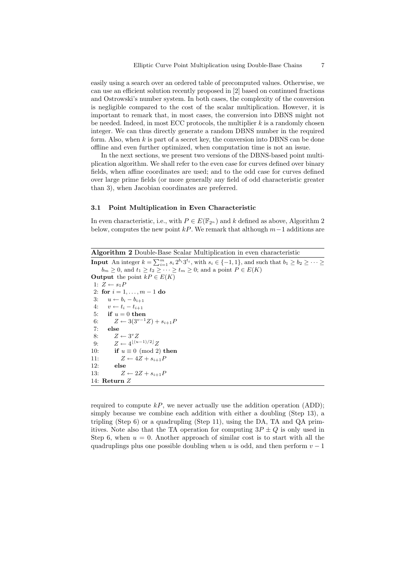easily using a search over an ordered table of precomputed values. Otherwise, we can use an efficient solution recently proposed in [2] based on continued fractions and Ostrowski's number system. In both cases, the complexity of the conversion is negligible compared to the cost of the scalar multiplication. However, it is important to remark that, in most cases, the conversion into DBNS might not be needed. Indeed, in most ECC protocols, the multiplier  $k$  is a randomly chosen integer. We can thus directly generate a random DBNS number in the required form. Also, when k is part of a secret key, the conversion into DBNS can be done offline and even further optimized, when computation time is not an issue.

In the next sections, we present two versions of the DBNS-based point multiplication algorithm. We shall refer to the even case for curves defined over binary fields, when affine coordinates are used; and to the odd case for curves defined over large prime fields (or more generally any field of odd characteristic greater than 3), when Jacobian coordinates are preferred.

#### 3.1 Point Multiplication in Even Characteristic

In even characteristic, i.e., with  $P \in E(\mathbb{F}_{2^n})$  and k defined as above, Algorithm 2 below, computes the new point kP. We remark that although  $m-1$  additions are

Algorithm 2 Double-Base Scalar Multiplication in even characteristic **Input** An integer  $k = \sum_{i=1}^{m} s_i 2^{b_i} 3^{t_i}$ , with  $s_i \in \{-1, 1\}$ , and such that  $b_1 \geq b_2 \geq \cdots \geq b_k$  $b_m \geq 0$ , and  $t_1 \geq t_2 \geq \cdots \geq t_m \geq 0$ ; and a point  $P \in E(K)$ **Output** the point  $kP \in E(K)$ 1:  $Z \leftarrow s_1 P$ 2: for  $i = 1, ..., m - 1$  do 3:  $u \leftarrow b_i - b_{i+1}$ 4:  $v \leftarrow t_i - t_{i+1}$ 5: if  $u = 0$  then 6:  $Z \leftarrow 3(3^{v-1}Z) + s_{i+1}P$ 7: else 8:  $Z \leftarrow 3^v Z$ 9:  $Z \leftarrow 4^{\lfloor (u-1)/2 \rfloor} Z$ 10: if  $u \equiv 0 \pmod{2}$  then 11:  $Z \leftarrow 4Z + s_{i+1}P$ 12: else 13:  $Z \leftarrow 2Z + s_{i+1}P$ 14: Return Z

required to compute  $kP$ , we never actually use the addition operation (ADD); simply because we combine each addition with either a doubling (Step 13), a tripling (Step 6) or a quadrupling (Step 11), using the DA, TA and QA primitives. Note also that the TA operation for computing  $3P \pm Q$  is only used in Step 6, when  $u = 0$ . Another approach of similar cost is to start with all the quadruplings plus one possible doubling when u is odd, and then perform  $v - 1$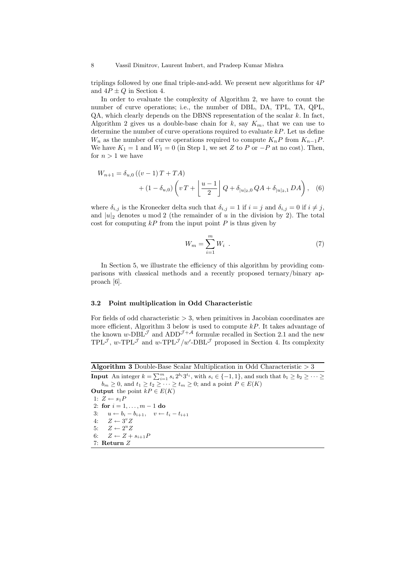8 Vassil Dimitrov, Laurent Imbert, and Pradeep Kumar Mishra

triplings followed by one final triple-and-add. We present new algorithms for  $4P$ and  $4P \pm Q$  in Section 4.

In order to evaluate the complexity of Algorithm 2, we have to count the number of curve operations; i.e., the number of DBL, DA, TPL, TA, QPL,  $QA$ , which clearly depends on the DBNS representation of the scalar  $k$ . In fact, Algorithm 2 gives us a double-base chain for k, say  $K_m$ , that we can use to determine the number of curve operations required to evaluate  $kP$ . Let us define  $W_n$  as the number of curve operations required to compute  $K_nP$  from  $K_{n-1}P$ . We have  $K_1 = 1$  and  $W_1 = 0$  (in Step 1, we set Z to P or  $-P$  at no cost). Then, for  $n > 1$  we have

$$
W_{n+1} = \delta_{u,0} ((v-1)T + TA)
$$
  
+  $(1 - \delta_{u,0}) \left( vT + \left[ \frac{u-1}{2} \right] Q + \delta_{|u|_2,0} QA + \delta_{|u|_2,1} DA \right)$ , (6)

where  $\delta_{i,j}$  is the Kronecker delta such that  $\delta_{i,j} = 1$  if  $i = j$  and  $\delta_{i,j} = 0$  if  $i \neq j$ , and  $|u|_2$  denotes u mod 2 (the remainder of u in the division by 2). The total cost for computing  $kP$  from the input point P is thus given by

$$
W_m = \sum_{i=1}^{m} W_i \tag{7}
$$

In Section 5, we illustrate the efficiency of this algorithm by providing comparisons with classical methods and a recently proposed ternary/binary approach [6].

#### 3.2 Point multiplication in Odd Characteristic

For fields of odd characteristic  $> 3$ , when primitives in Jacobian coordinates are more efficient, Algorithm 3 below is used to compute  $kP$ . It takes advantage of the known w-DBL<sup>J</sup> and ADD<sup>J+A</sup> formulæ recalled in Section 2.1 and the new TPL<sup>J</sup>, w-TPL<sup>J</sup> and w-TPL<sup>J</sup>/w'-DBL<sup>J</sup> proposed in Section 4. Its complexity

Algorithm 3 Double-Base Scalar Multiplication in Odd Characteristic  $> 3$ 

**Input** An integer  $k = \sum_{i=1}^{m} s_i 2^{b_i} 3^{t_i}$ , with  $s_i \in \{-1, 1\}$ , and such that  $b_1 \geq b_2 \geq \cdots \geq b_k$  $b_m \geq 0$ , and  $t_1 \geq t_2 \geq \cdots \geq t_m \geq 0$ ; and a point  $P \in E(K)$ **Output** the point  $kP \in E(K)$ 1:  $Z \leftarrow s_1 P$ 2: for  $i = 1, ..., m - 1$  do 3:  $u \leftarrow b_i - b_{i+1}, \quad v \leftarrow t_i - t_{i+1}$ 4:  $Z \leftarrow 3^{\nu} Z$ 5:  $Z \leftarrow 2^u Z$ 6:  $Z \leftarrow Z + s_{i+1}P$ 7: Return Z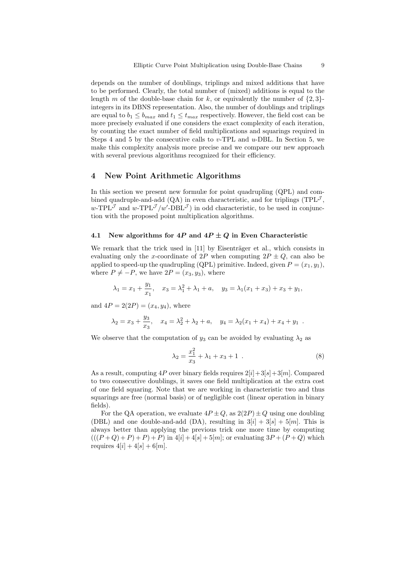depends on the number of doublings, triplings and mixed additions that have to be performed. Clearly, the total number of (mixed) additions is equal to the length m of the double-base chain for k, or equivalently the number of  $\{2,3\}$ integers in its DBNS representation. Also, the number of doublings and triplings are equal to  $b_1 \leq b_{max}$  and  $t_1 \leq t_{max}$  respectively. However, the field cost can be more precisely evaluated if one considers the exact complexity of each iteration, by counting the exact number of field multiplications and squarings required in Steps 4 and 5 by the consecutive calls to  $v$ -TPL and  $u$ -DBL. In Section 5, we make this complexity analysis more precise and we compare our new approach with several previous algorithms recognized for their efficiency.

## 4 New Point Arithmetic Algorithms

In this section we present new formulæ for point quadrupling (QPL) and combined quadruple-and-add (QA) in even characteristic, and for triplings ( $TPL<sup>J</sup>$ , w-TPL<sup>J</sup> and w-TPL<sup>J</sup>/w'-DBL<sup>J</sup>) in odd characteristic, to be used in conjunction with the proposed point multiplication algorithms.

## 4.1 New algorithms for  $4P$  and  $4P \pm Q$  in Even Characteristic

We remark that the trick used in  $[11]$  by Eisenträger et al., which consists in evaluating only the x-coordinate of  $2P$  when computing  $2P \pm Q$ , can also be applied to speed-up the quadrupling (QPL) primitive. Indeed, given  $P = (x_1, y_1)$ , where  $P \neq -P$ , we have  $2P = (x_3, y_3)$ , where

$$
\lambda_1 = x_1 + \frac{y_1}{x_1}, \quad x_3 = \lambda_1^2 + \lambda_1 + a, \quad y_3 = \lambda_1(x_1 + x_3) + x_3 + y_1,
$$

and  $4P = 2(2P) = (x_4, y_4)$ , where

$$
\lambda_2 = x_3 + \frac{y_3}{x_3}, \quad x_4 = \lambda_2^2 + \lambda_2 + a, \quad y_4 = \lambda_2(x_1 + x_4) + x_4 + y_1
$$

We observe that the computation of  $y_3$  can be avoided by evaluating  $\lambda_2$  as

$$
\lambda_2 = \frac{x_1^2}{x_3} + \lambda_1 + x_3 + 1 \tag{8}
$$

As a result, computing 4P over binary fields requires  $2[i]+3[s]+3[m]$ . Compared to two consecutive doublings, it saves one field multiplication at the extra cost of one field squaring. Note that we are working in characteristic two and thus squarings are free (normal basis) or of negligible cost (linear operation in binary fields).

For the QA operation, we evaluate  $4P \pm Q$ , as  $2(2P) \pm Q$  using one doubling (DBL) and one double-and-add (DA), resulting in  $3[i] + 3[s] + 5[m]$ . This is always better than applying the previous trick one more time by computing  $(((P+Q)+P)+P)+P)$  in  $4[i]+4[s]+5[m]$ ; or evaluating  $3P+(P+Q)$  which requires  $4[i] + 4[s] + 6[m]$ .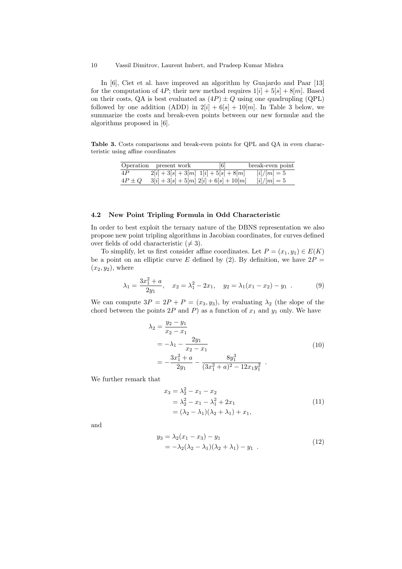## 10 Vassil Dimitrov, Laurent Imbert, and Pradeep Kumar Mishra

In [6], Ciet et al. have improved an algorithm by Guajardo and Paar [13] for the computation of 4P; their new method requires  $1[i] + 5[s] + 8[m]$ . Based on their costs, QA is best evaluated as  $(4P) \pm Q$  using one quadrupling (QPL) followed by one addition (ADD) in  $2[i] + 6[s] + 10[m]$ . In Table 3 below, we summarize the costs and break-even points between our new formulæ and the algorithms proposed in [6].

Table 3. Costs comparisons and break-even points for QPL and QA in even characteristic using affine coordinates

| Operation present work |  | $\lceil 6 \rceil$                          | break-even point |
|------------------------|--|--------------------------------------------|------------------|
| 4P                     |  | $2[i] + 3[s] + 3[m] \ 1[i] + 5[s] + 8[m]$  | $[i]/[m] = 5$    |
| $4P \pm Q$             |  | $3[i] + 3[s] + 5[m]$ $2[i] + 6[s] + 10[m]$ | $[i]/[m] = 5$    |

#### 4.2 New Point Tripling Formula in Odd Characteristic

In order to best exploit the ternary nature of the DBNS representation we also propose new point tripling algorithms in Jacobian coordinates, for curves defined over fields of odd characteristic ( $\neq$  3).

To simplify, let us first consider affine coordinates. Let  $P = (x_1, y_1) \in E(K)$ be a point on an elliptic curve E defined by (2). By definition, we have  $2P =$  $(x_2, y_2)$ , where

$$
\lambda_1 = \frac{3x_1^2 + a}{2y_1}, \quad x_2 = \lambda_1^2 - 2x_1, \quad y_2 = \lambda_1(x_1 - x_2) - y_1 \tag{9}
$$

We can compute  $3P = 2P + P = (x_3, y_3)$ , by evaluating  $\lambda_2$  (the slope of the chord between the points  $2P$  and  $P$ ) as a function of  $x_1$  and  $y_1$  only. We have

$$
\lambda_2 = \frac{y_2 - y_1}{x_2 - x_1}
$$
  
=  $-\lambda_1 - \frac{2y_1}{x_2 - x_1}$   
=  $-\frac{3x_1^2 + a}{2y_1} - \frac{8y_1^3}{(3x_1^2 + a)^2 - 12x_1y_1^2}$ . (10)

We further remark that

$$
x_3 = \lambda_2^2 - x_1 - x_2
$$
  
=  $\lambda_2^2 - x_1 - \lambda_1^2 + 2x_1$   
=  $(\lambda_2 - \lambda_1)(\lambda_2 + \lambda_1) + x_1$ , (11)

and

$$
y_3 = \lambda_2(x_1 - x_3) - y_1
$$
  
=  $-\lambda_2(\lambda_2 - \lambda_1)(\lambda_2 + \lambda_1) - y_1$ . (12)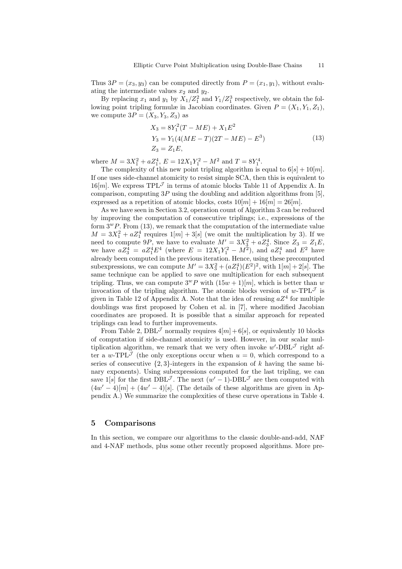Thus  $3P = (x_3, y_3)$  can be computed directly from  $P = (x_1, y_1)$ , without evaluating the intermediate values  $x_2$  and  $y_2$ .

By replacing  $x_1$  and  $y_1$  by  $X_1/Z_1^2$  and  $Y_1/Z_1^3$  respectively, we obtain the following point tripling formulæ in Jacobian coordinates. Given  $P = (X_1, Y_1, Z_1)$ , we compute  $3P = (X_3, Y_3, Z_3)$  as

$$
X_3 = 8Y_1^2(T - ME) + X_1E^2
$$
  
\n
$$
Y_3 = Y_1(4(ME - T)(2T - ME) - E^3)
$$
  
\n
$$
Z_3 = Z_1E,
$$
\n(13)

where  $M = 3X_1^2 + aZ_1^4$ ,  $E = 12X_1Y_1^2 - M^2$  and  $T = 8Y_1^4$ .

The complexity of this new point tripling algorithm is equal to  $6[s] + 10[m]$ . If one uses side-channel atomicity to resist simple SCA, then this is equivalent to  $16[m]$ . We express TPL<sup>J</sup> in terms of atomic blocks Table 11 of Appendix A. In comparison, computing  $3P$  using the doubling and addition algorithms from [5], expressed as a repetition of atomic blocks, costs  $10[m] + 16[m] = 26[m]$ .

As we have seen in Section 3.2, operation count of Algorithm 3 can be reduced by improving the computation of consecutive triplings; i.e., expressions of the form  $3^w P$ . From (13), we remark that the computation of the intermediate value  $M = 3X_1^2 + aZ_1^4$  requires  $1[m] + 3[s]$  (we omit the multiplication by 3). If we need to compute 9P, we have to evaluate  $M' = 3X_3^2 + aZ_3^4$ . Since  $Z_3 = Z_1E$ , we have  $aZ_3^4 = aZ_1^4E^4$  (where  $E = 12X_1Y_1^2 - M^2$ ), and  $aZ_1^4$  and  $E^2$  have already been computed in the previous iteration. Hence, using these precomputed subexpressions, we can compute  $M' = 3X_3^2 + (aZ_1^4)(E^2)^2$ , with  $1[m] + 2[s]$ . The same technique can be applied to save one multiplication for each subsequent tripling. Thus, we can compute  $3^w P$  with  $(15w + 1)[m]$ , which is better than w invocation of the tripling algorithm. The atomic blocks version of  $w$ -TPL<sup> $\mathcal{J}$ </sup> is given in Table 12 of Appendix A. Note that the idea of reusing  $aZ^4$  for multiple doublings was first proposed by Cohen et al. in [7], where modified Jacobian coordinates are proposed. It is possible that a similar approach for repeated triplings can lead to further improvements.

From Table 2,  $DBL<sup>J</sup>$  normally requires  $4[m] + 6[s]$ , or equivalently 10 blocks of computation if side-channel atomicity is used. However, in our scalar multiplication algorithm, we remark that we very often invoke  $w'$ -DBL<sup> $\mathcal{I}$ </sup> right after a w-TPL<sup>J</sup> (the only exceptions occur when  $u = 0$ , which correspond to a series of consecutive  $\{2, 3\}$ -integers in the expansion of k having the same binary exponents). Using subexpressions computed for the last tripling, we can save  $1[s]$  for the first  $DBL^{\mathcal{J}}$ . The next  $(w'-1)$ - $DBL^{\mathcal{J}}$  are then computed with  $(4w' - 4)[m] + (4w' - 4)[s]$ . (The details of these algorithms are given in Appendix A.) We summarize the complexities of these curve operations in Table 4.

## 5 Comparisons

In this section, we compare our algorithms to the classic double-and-add, NAF and 4-NAF methods, plus some other recently proposed algorithms. More pre-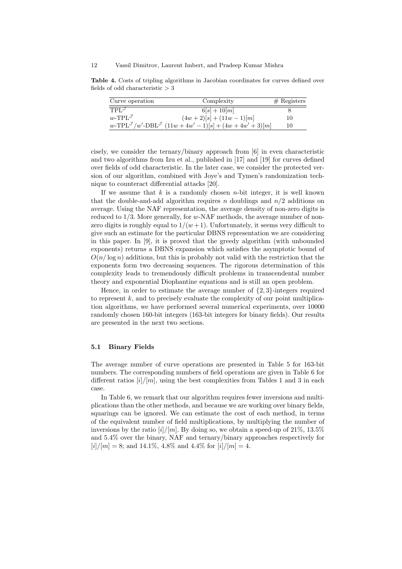Table 4. Costs of tripling algorithms in Jacobian coordinates for curves defined over fields of odd characteristic  $> 3$ 

| Curve operation           | Complexity                                                                          | $#$ Registers |
|---------------------------|-------------------------------------------------------------------------------------|---------------|
| TPIJ                      | $6[s] + 10[m]$                                                                      |               |
| $w$ -TPL $^{\mathcal{J}}$ | $(4w+2)[s] + (11w-1)[m]$                                                            | 10            |
|                           | $w$ -TPL <sup>J</sup> /w'-DBL <sup>J</sup> $(11w + 4w' - 1)[s] + (4w + 4w' + 3)[m]$ | 10            |

cisely, we consider the ternary/binary approach from [6] in even characteristic and two algorithms from Izu et al., published in [17] and [19] for curves defined over fields of odd characteristic. In the later case, we consider the protected version of our algorithm, combined with Joye's and Tymen's randomization technique to counteract differential attacks [20].

If we assume that  $k$  is a randomly chosen *n*-bit integer, it is well known that the double-and-add algorithm requires n doublings and  $n/2$  additions on average. Using the NAF representation, the average density of non-zero digits is reduced to  $1/3$ . More generally, for w-NAF methods, the average number of nonzero digits is roughly equal to  $1/(w+1)$ . Unfortunately, it seems very difficult to give such an estimate for the particular DBNS representation we are considering in this paper. In [9], it is proved that the greedy algorithm (with unbounded exponents) returns a DBNS expansion which satisfies the asymptotic bound of  $O(n/\log n)$  additions, but this is probably not valid with the restriction that the exponents form two decreasing sequences. The rigorous determination of this complexity leads to tremendously difficult problems in transcendental number theory and exponential Diophantine equations and is still an open problem.

Hence, in order to estimate the average number of  $\{2, 3\}$ -integers required to represent  $k$ , and to precisely evaluate the complexity of our point multiplication algorithms, we have performed several numerical experiments, over 10000 randomly chosen 160-bit integers (163-bit integers for binary fields). Our results are presented in the next two sections.

#### 5.1 Binary Fields

The average number of curve operations are presented in Table 5 for 163-bit numbers. The corresponding numbers of field operations are given in Table 6 for different ratios  $[i]/[m]$ , using the best complexities from Tables 1 and 3 in each case.

In Table 6, we remark that our algorithm requires fewer inversions and multiplications than the other methods, and because we are working over binary fields, squarings can be ignored. We can estimate the cost of each method, in terms of the equivalent number of field multiplications, by multiplying the number of inversions by the ratio  $[i]/[m]$ . By doing so, we obtain a speed-up of 21\%, 13.5\% and 5.4% over the binary, NAF and ternary/binary approaches respectively for  $[i]/[m] = 8$ ; and 14.1%, 4.8% and 4.4% for  $[i]/[m] = 4$ .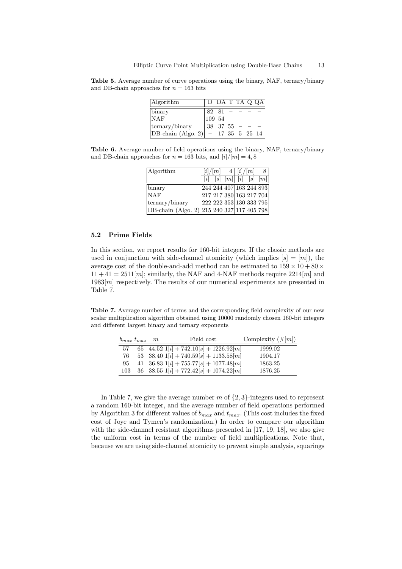Table 5. Average number of curve operations using the binary, NAF, ternary/binary and DB-chain approaches for  $n = 163$  bits

| Algorithm              |               |                  |  | D DA T TA Q QA |
|------------------------|---------------|------------------|--|----------------|
| binary                 |               | $82 \t 81 = -$   |  |                |
| NAF                    | $ 109 \t54 -$ |                  |  |                |
| ternary/binary         |               | $38 \t37 \t55 -$ |  |                |
| $ DB$ -chain (Algo. 2) |               |                  |  | $-1735552514$  |

Table 6. Average number of field operations using the binary, NAF, ternary/binary and DB-chain approaches for  $n = 163$  bits, and  $[i]/[m] = 4, 8$ 

| Algorithm                                  |  | $[i]/[m] = 4   [i]/[m] = 8$   |  |  |
|--------------------------------------------|--|-------------------------------|--|--|
|                                            |  | $[s]$ $[m]$ $[i]$ $[s]$ $[m]$ |  |  |
| binary                                     |  | 244 244 407 163 244 893       |  |  |
| NAF                                        |  | 217 217 380 163 217 704       |  |  |
| ternary/binary                             |  | 222 222 353 130 333 795       |  |  |
| DB-chain (Algo. 2) 215 240 327 117 405 798 |  |                               |  |  |

#### 5.2 Prime Fields

In this section, we report results for 160-bit integers. If the classic methods are used in conjunction with side-channel atomicity (which implies  $[s] = [m]$ ), the average cost of the double-and-add method can be estimated to  $159 \times 10 + 80 \times$  $11 + 41 = 2511[m]$ ; similarly, the NAF and 4-NAF methods require  $2214[m]$  and  $1983[m]$  respectively. The results of our numerical experiments are presented in Table 7.

Table 7. Average number of terms and the corresponding field complexity of our new scalar multiplication algorithm obtained using 10000 randomly chosen 160-bit integers and different largest binary and ternary exponents

| $b_{max}$ $t_{max}$ | m | Field cost                                   | Complexity $(\#[m])$ |
|---------------------|---|----------------------------------------------|----------------------|
| 57                  |   | 65 44.52 $1[i] + 742.10[s] + 1226.92[m]$     | 1999.02              |
| 76                  |   | 53 38.40 $1[i] + 740.59[s] + 1133.58[m]$     | 1904.17              |
| 95                  |   | 41 36.83 $1[i] + 755.77[s] + 1077.48[m]$     | 1863.25              |
|                     |   | 103 36 38.55 $1[i] + 772.42[s] + 1074.22[m]$ | 1876.25              |

In Table 7, we give the average number  $m$  of  $\{2, 3\}$ -integers used to represent a random 160-bit integer, and the average number of field operations performed by Algorithm 3 for different values of  $b_{max}$  and  $t_{max}$ . (This cost includes the fixed cost of Joye and Tymen's randomization.) In order to compare our algorithm with the side-channel resistant algorithms presented in [17, 19, 18], we also give the uniform cost in terms of the number of field multiplications. Note that, because we are using side-channel atomicity to prevent simple analysis, squarings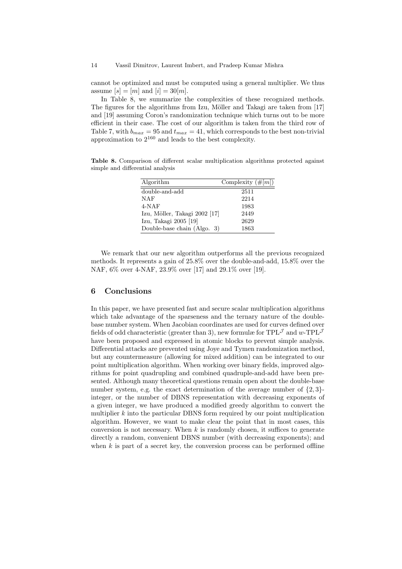#### 14 Vassil Dimitrov, Laurent Imbert, and Pradeep Kumar Mishra

cannot be optimized and must be computed using a general multiplier. We thus assume  $|s| = |m|$  and  $|i| = 30|m|$ .

In Table 8, we summarize the complexities of these recognized methods. The figures for the algorithms from Izu, Möller and Takagi are taken from [17] and [19] assuming Coron's randomization technique which turns out to be more efficient in their case. The cost of our algorithm is taken from the third row of Table 7, with  $b_{max} = 95$  and  $t_{max} = 41$ , which corresponds to the best non-trivial approximation to  $2^{160}$  and leads to the best complexity.

Table 8. Comparison of different scalar multiplication algorithms protected against simple and differential analysis

| Algorithm                     | Complexity $(\#[m])$ |
|-------------------------------|----------------------|
| double-and-add                | 2511                 |
| NAF                           | 2214                 |
| $4-NAF$                       | 1983                 |
| Izu, Möller, Takagi 2002 [17] | 2449                 |
| Izu, Takagi 2005 [19]         | 2629                 |
| Double-base chain (Algo. 3)   | 1863                 |

We remark that our new algorithm outperforms all the previous recognized methods. It represents a gain of 25.8% over the double-and-add, 15.8% over the NAF, 6% over 4-NAF, 23.9% over [17] and 29.1% over [19].

## 6 Conclusions

In this paper, we have presented fast and secure scalar multiplication algorithms which take advantage of the sparseness and the ternary nature of the doublebase number system. When Jacobian coordinates are used for curves defined over fields of odd characteristic (greater than 3), new formulæ for  $\text{TPL}^{\mathcal{J}}$  and w- $\text{TPL}^{\mathcal{J}}$ have been proposed and expressed in atomic blocks to prevent simple analysis. Differential attacks are prevented using Joye and Tymen randomization method, but any countermeasure (allowing for mixed addition) can be integrated to our point multiplication algorithm. When working over binary fields, improved algorithms for point quadrupling and combined quadruple-and-add have been presented. Although many theoretical questions remain open about the double-base number system, e.g. the exact determination of the average number of  $\{2,3\}$ integer, or the number of DBNS representation with decreasing exponents of a given integer, we have produced a modified greedy algorithm to convert the multiplier  $k$  into the particular DBNS form required by our point multiplication algorithm. However, we want to make clear the point that in most cases, this conversion is not necessary. When  $k$  is randomly chosen, it suffices to generate directly a random, convenient DBNS number (with decreasing exponents); and when  $k$  is part of a secret key, the conversion process can be performed offline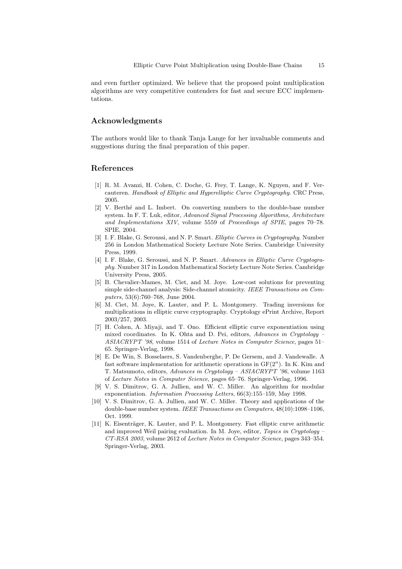and even further optimized. We believe that the proposed point multiplication algorithms are very competitive contenders for fast and secure ECC implementations.

## Acknowledgments

The authors would like to thank Tanja Lange for her invaluable comments and suggestions during the final preparation of this paper.

## References

- [1] R. M. Avanzi, H. Cohen, C. Doche, G. Frey, T. Lange, K. Nguyen, and F. Vercauteren. Handbook of Elliptic and Hyperelliptic Curve Cryptography. CRC Press, 2005.
- [2] V. Berth´e and L. Imbert. On converting numbers to the double-base number system. In F. T. Luk, editor, Advanced Signal Processing Algorithms, Architecture and Implementations XIV, volume 5559 of Proceedings of SPIE, pages 70–78. SPIE, 2004.
- [3] I. F. Blake, G. Seroussi, and N. P. Smart. Elliptic Curves in Cruptography. Number 256 in London Mathematical Society Lecture Note Series. Cambridge University Press, 1999.
- [4] I. F. Blake, G. Seroussi, and N. P. Smart. Advances in Elliptic Curve Cryptography. Number 317 in London Mathematical Society Lecture Note Series. Cambridge University Press, 2005.
- [5] B. Chevalier-Mames, M. Ciet, and M. Joye. Low-cost solutions for preventing simple side-channel analysis: Side-channel atomicity. IEEE Transactions on Computers, 53(6):760–768, June 2004.
- [6] M. Ciet, M. Joye, K. Lauter, and P. L. Montgomery. Trading inversions for multiplications in elliptic curve cryptography. Cryptology ePrint Archive, Report 2003/257, 2003.
- [7] H. Cohen, A. Miyaji, and T. Ono. Efficient elliptic curve exponentiation using mixed coordinates. In K. Ohta and D. Pei, editors, Advances in Cryptology – ASIACRYPT '98, volume 1514 of Lecture Notes in Computer Science, pages 51– 65. Springer-Verlag, 1998.
- [8] E. De Win, S. Bosselaers, S. Vandenberghe, P. De Gersem, and J. Vandewalle. A fast software implementation for arithmetic operations in  $GF(2<sup>n</sup>)$ . In K. Kim and T. Matsumoto, editors, Advances in Cryptology – ASIACRYPT '96, volume 1163 of Lecture Notes in Computer Science, pages 65–76. Springer-Verlag, 1996.
- [9] V. S. Dimitrov, G. A. Jullien, and W. C. Miller. An algorithm for modular exponentiation. Information Processing Letters, 66(3):155–159, May 1998.
- [10] V. S. Dimitrov, G. A. Jullien, and W. C. Miller. Theory and applications of the double-base number system. IEEE Transactions on Computers, 48(10):1098–1106, Oct. 1999.
- [11] K. Eisenträger, K. Lauter, and P. L. Montgomery. Fast elliptic curve arithmetic and improved Weil pairing evaluation. In M. Joye, editor, Topics in Cryptology – CT-RSA 2003, volume 2612 of Lecture Notes in Computer Science, pages 343–354. Springer-Verlag, 2003.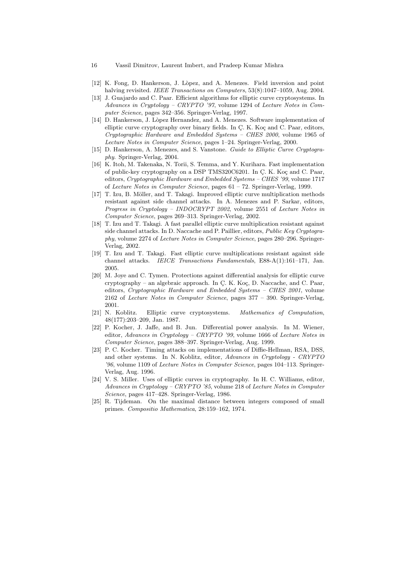- 16 Vassil Dimitrov, Laurent Imbert, and Pradeep Kumar Mishra
- [12] K. Fong, D. Hankerson, J. Lòpez, and A. Menezes. Field inversion and point halving revisited. *IEEE Transactions on Computers*, 53(8):1047–1059, Aug. 2004.
- [13] J. Guajardo and C. Paar. Efficient algorithms for elliptic curve cryptosystems. In Advances in Cryptology – CRYPTO '97, volume 1294 of Lecture Notes in Computer Science, pages 342–356. Springer-Verlag, 1997.
- [14] D. Hankerson, J. Lòpez Hernandez, and A. Menezes. Software implementation of elliptic curve cryptography over binary fields. In Ç. K. Koç and C. Paar, editors, Cryptographic Hardware and Embedded Systems – CHES 2000, volume 1965 of Lecture Notes in Computer Science, pages 1–24. Springer-Verlag, 2000.
- [15] D. Hankerson, A. Menezes, and S. Vanstone. Guide to Elliptic Curve Cryptography. Springer-Verlag, 2004.
- [16] K. Itoh, M. Takenaka, N. Torii, S. Temma, and Y. Kurihara. Fast implementation of public-key cryptography on a DSP TMS320C6201. In C. K. Koç and C. Paar, editors, Cryptographic Hardware and Embedded Systems – CHES '99, volume 1717 of Lecture Notes in Computer Science, pages 61 – 72. Springer-Verlag, 1999.
- [17] T. Izu, B. Möller, and T. Takagi. Improved elliptic curve multiplication methods resistant against side channel attacks. In A. Menezes and P. Sarkar, editors, Progress in Cryptology – INDOCRYPT 2002, volume 2551 of Lecture Notes in Computer Science, pages 269–313. Springer-Verlag, 2002.
- [18] T. Izu and T. Takagi. A fast parallel elliptic curve multiplication resistant against side channel attacks. In D. Naccache and P. Paillier, editors, Public Key Cryptography, volume 2274 of Lecture Notes in Computer Science, pages 280–296. Springer-Verlag, 2002.
- [19] T. Izu and T. Takagi. Fast elliptic curve multiplications resistant against side channel attacks. IEICE Transactions Fundamentals, E88-A(1):161–171, Jan. 2005.
- [20] M. Joye and C. Tymen. Protections against differential analysis for elliptic curve cryptography – an algebraic approach. In C, K, Koç, D, Naccache, and C. Paar, editors, Cryptographic Hardware and Embedded Systems – CHES 2001, volume 2162 of Lecture Notes in Computer Science, pages 377 – 390. Springer-Verlag, 2001.
- [21] N. Koblitz. Elliptic curve cryptosystems. Mathematics of Computation, 48(177):203–209, Jan. 1987.
- [22] P. Kocher, J. Jaffe, and B. Jun. Differential power analysis. In M. Wiener, editor, Advances in Cryptology – CRYPTO '99, volume 1666 of Lecture Notes in Computer Science, pages 388–397. Springer-Verlag, Aug. 1999.
- [23] P. C. Kocher. Timing attacks on implementations of Diffie-Hellman, RSA, DSS, and other systems. In N. Koblitz, editor, Advances in Cryptology - CRYPTO '96, volume 1109 of Lecture Notes in Computer Science, pages 104–113. Springer-Verlag, Aug. 1996.
- [24] V. S. Miller. Uses of elliptic curves in cryptography. In H. C. Williams, editor, Advances in Cryptology – CRYPTO '85, volume 218 of Lecture Notes in Computer Science, pages 417–428. Springer-Verlag, 1986.
- [25] R. Tijdeman. On the maximal distance between integers composed of small primes. Compositio Mathematica, 28:159–162, 1974.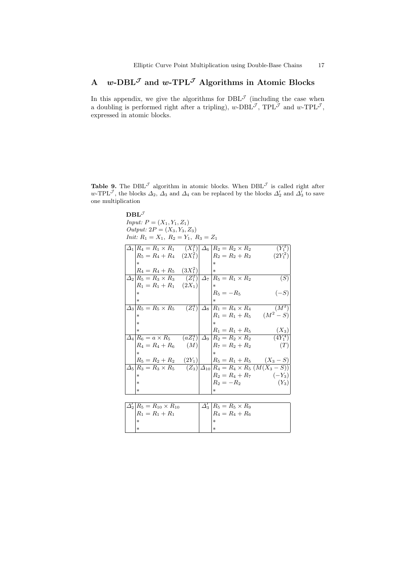# A  $w$ -DBL<sup> $\mathcal{I}$ </sup> and  $w$ -TPL $\mathcal{I}$  Algorithms in Atomic Blocks

In this appendix, we give the algorithms for  $DBL<sup>J</sup>$  (including the case when a doubling is performed right after a tripling),  $w$ -DBL<sup>J</sup>, TPL<sup>J</sup> and  $w$ -TPL<sup>J</sup>, expressed in atomic blocks.

**Table 9.** The DBL<sup>J</sup> algorithm in atomic blocks. When  $DBL<sup>J</sup>$  is called right after w-TPL<sup>J</sup>, the blocks  $\Delta_2$ ,  $\Delta_3$  and  $\Delta_4$  can be replaced by the blocks  $\Delta'_2$  and  $\Delta'_3$  to save one multiplication

| $DBL^{\mathcal{J}}$<br><i>Input:</i> $P = (X_1, Y_1, Z_1)$<br><i>Output:</i> $2P = (X_3, Y_3, Z_3)$<br><i>Init:</i> $R_1 = X_1$ , $R_2 = Y_1$ , $R_3 = Z_1$ |                                                                                               |  |  |                                                                 |                     |  |
|-------------------------------------------------------------------------------------------------------------------------------------------------------------|-----------------------------------------------------------------------------------------------|--|--|-----------------------------------------------------------------|---------------------|--|
|                                                                                                                                                             | $\overline{\Delta_1 R_4=R_1\times R_1} \quad (X_1^2) \,\Delta_6\, R_2=R_2\times R_2 $         |  |  |                                                                 | $\frac{1}{(Y_1^2)}$ |  |
|                                                                                                                                                             | $R_5 = R_4 + R_4 \quad (2X_1^2)$                                                              |  |  | $R_2 = R_2 + R_2$                                               | $(2Y_1^2)$          |  |
|                                                                                                                                                             | $\ast$                                                                                        |  |  | $\ast$                                                          |                     |  |
|                                                                                                                                                             | $R_4 = R_4 + R_5$ $(3X_1^2)$                                                                  |  |  | $\ast$                                                          |                     |  |
|                                                                                                                                                             | $\Delta_2 R_5=R_3\times R_3 \hspace{0.5cm} (\overline{Z_1^2}) \,\Delta_7\, R_5=R_1\times R_2$ |  |  |                                                                 | (S)                 |  |
|                                                                                                                                                             | $R_1 = R_1 + R_1$ (2X <sub>1</sub> )                                                          |  |  | $\ast$                                                          |                     |  |
|                                                                                                                                                             | $\ast$                                                                                        |  |  | $R_5=-R_5$                                                      | $(-S)$              |  |
|                                                                                                                                                             | $\ast$                                                                                        |  |  | $\ast$                                                          |                     |  |
|                                                                                                                                                             | $\varDelta_3 R_5=R_5\times R_5$                                                               |  |  | $(Z_1^4) \Delta_8 R_1=R_4\times R_4$                            |                     |  |
|                                                                                                                                                             | ∗                                                                                             |  |  | $R_1 = R_4 \times R_4$ $(M^2)$<br>$R_1 = R_1 + R_5$ $(M^2 - S)$ |                     |  |
|                                                                                                                                                             | $\ast$                                                                                        |  |  |                                                                 |                     |  |
|                                                                                                                                                             | $\ast$                                                                                        |  |  | $R_1 = R_1 + R_5$                                               | $(X_3)$             |  |
|                                                                                                                                                             | $\varDelta_4 R_6=a\times R_5 \qquad (aZ_1^4) $                                                |  |  | $\Delta_9   R_2 = R_2 \times R_2$                               | $(4Y_1^4)$          |  |
|                                                                                                                                                             | $R_4 = R_4 + R_6$ ( <i>M</i> )                                                                |  |  | $R_7 = R_2 + R_2$                                               | (T)                 |  |
|                                                                                                                                                             | $\ast$                                                                                        |  |  | ж                                                               |                     |  |
|                                                                                                                                                             | $R_5 = R_2 + R_2$ (2Y <sub>1</sub> )                                                          |  |  | $R_5 = R_1 + R_5$ $(X_3 - S)$                                   |                     |  |
|                                                                                                                                                             | $\Delta_5 R_3 = R_3 \times R_5$ $(Z_3) \Delta_{10} R_4 = R_4 \times R_5$ $(M(X_3 - S))$       |  |  |                                                                 |                     |  |
|                                                                                                                                                             | *                                                                                             |  |  | $R_2 = R_4 + R_7$ (-Y <sub>3</sub> )                            |                     |  |
|                                                                                                                                                             | *                                                                                             |  |  | $R_2 = -R_2$                                                    | $(Y_3)$             |  |
|                                                                                                                                                             | $\ast$                                                                                        |  |  | ∗                                                               |                     |  |
|                                                                                                                                                             |                                                                                               |  |  |                                                                 |                     |  |

| $\Delta'_2 R_5=R_{10}\times R_{10}$ | $\Delta'_3   R_5 = R_5 \times R_9$ |
|-------------------------------------|------------------------------------|
| $ R_1 = R_1 + R_1$                  | $R_4 = R_4 + R_6$                  |
| ∗                                   |                                    |
|                                     | ж                                  |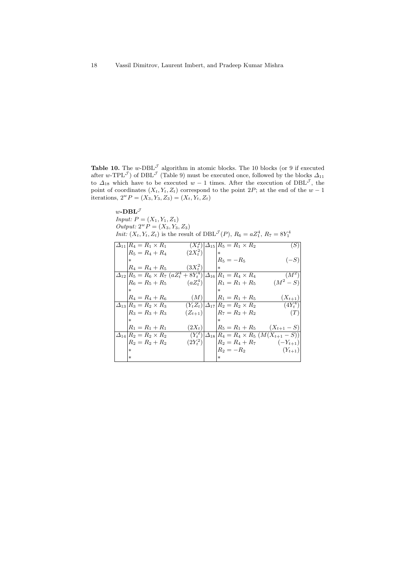**Table 10.** The w-DBL<sup>J</sup> algorithm in atomic blocks. The 10 blocks (or 9 if executed after w-TPL<sup>J</sup>) of DBL<sup>J</sup> (Table 9) must be executed once, followed by the blocks  $\Delta_{11}$ to  $\Delta_{18}$  which have to be executed  $w-1$  times. After the execution of DBL<sup>J</sup>, the point of coordinates  $(X_t, Y_t, Z_t)$  correspond to the point 2P; at the end of the  $w - 1$ iterations,  $2^w P = (X_3, Y_3, Z_3) = (X_t, Y_t, Z_t)$ 

|                                     | w-DBL $^{\mathcal{J}}$ |                                      |                                                   |  |                                                                                                          |                                                                   |  |
|-------------------------------------|------------------------|--------------------------------------|---------------------------------------------------|--|----------------------------------------------------------------------------------------------------------|-------------------------------------------------------------------|--|
| <i>Input:</i> $P = (X_1, Y_1, Z_1)$ |                        |                                      |                                                   |  |                                                                                                          |                                                                   |  |
|                                     |                        |                                      | <i>Output:</i> $2^w P = (X_3, Y_3, Z_3)$          |  |                                                                                                          |                                                                   |  |
|                                     |                        |                                      |                                                   |  | <i>Init:</i> $(X_t, Y_t, Z_t)$ is the result of $DBL^{\mathcal{J}}(P)$ , $R_6 = aZ_1^4$ , $R_7 = 8Y_1^4$ |                                                                   |  |
|                                     |                        |                                      |                                                   |  |                                                                                                          |                                                                   |  |
|                                     |                        |                                      |                                                   |  | $\Delta_{11} R_4 = R_1 \times R_1$ $(X_t^2) \Delta_{15} R_5 = R_1 \times R_2$                            | (S)                                                               |  |
|                                     |                        | $R_5 = R_4 + R_4$                    | $(2X_t^2)$                                        |  | $\ast$                                                                                                   |                                                                   |  |
|                                     |                        |                                      |                                                   |  | $R_5 = -R_5$                                                                                             | $(-S)$                                                            |  |
|                                     |                        |                                      | $R_4 = R_4 + R_5$ (3X <sub>t</sub> <sup>2</sup> ) |  | $\ast$                                                                                                   |                                                                   |  |
|                                     |                        |                                      |                                                   |  | $\Delta_{12} R_5 = R_6 \times R_7 \left(aZ_t^4 + 8Y_t^4\right) \Delta_{16} R_1 = R_4 \times R_4$         | $(M^2)$                                                           |  |
|                                     |                        |                                      | $R_6 = R_5 + R_5$ $(aZ_t^4)$                      |  | $R_1 = R_1 + R_5$                                                                                        | $(M^2 - S)$                                                       |  |
|                                     | $\ast$                 |                                      |                                                   |  | $\ast$                                                                                                   |                                                                   |  |
|                                     |                        | $R_4 = R_4 + R_6$                    | (M)                                               |  | $R_1 = R_1 + R_5$                                                                                        | $(X_{t+1})$                                                       |  |
|                                     |                        | $\Delta_{13}   R_3 = R_2 \times R_3$ |                                                   |  | $(Y_t Z_t) \Delta_{17} R_2 = R_2 \times R_2$                                                             | $\overline{(4Y_t^4)}$                                             |  |
|                                     |                        | $R_3 = R_3 + R_3$                    | $(Z_{t+1})$                                       |  | $R_7 = R_2 + R_2$                                                                                        | (T)                                                               |  |
|                                     |                        |                                      |                                                   |  | ж                                                                                                        |                                                                   |  |
|                                     |                        | $R_1 = R_1 + R_1$                    | $(2X_t)$                                          |  |                                                                                                          | $R_5 = R_1 + R_5$ $(X_{t+1} - S)$                                 |  |
|                                     |                        | $\Delta_{14}   R_2 = R_2 \times R_2$ |                                                   |  |                                                                                                          | $(Y_t^2) \Delta_{18} R_4=R_4\times R_5 \left(M(X_{t+1}-S)\right)$ |  |
|                                     |                        | $R_2 = R_2 + R_2$                    | $(2Y_t^2)$                                        |  |                                                                                                          | $R_2 = R_4 + R_7$ $(-Y_{t+1})$                                    |  |
|                                     | $\ast$                 |                                      |                                                   |  | $R_2 = -R_2$                                                                                             | $(Y_{t+1})$                                                       |  |
|                                     | $\ast$                 |                                      |                                                   |  | $\ast$                                                                                                   |                                                                   |  |
|                                     |                        |                                      |                                                   |  |                                                                                                          |                                                                   |  |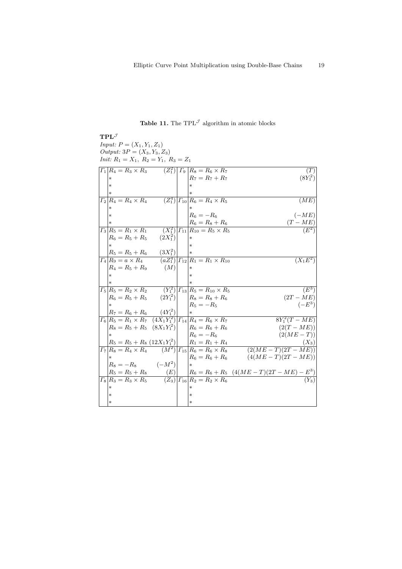| <i>Input:</i> $P = (X_1, Y_1, Z_1)$                  |            |  |                                                           |                                                         |  |  |  |
|------------------------------------------------------|------------|--|-----------------------------------------------------------|---------------------------------------------------------|--|--|--|
| <i>Output:</i> $3P = (X_3, Y_3, Z_3)$                |            |  |                                                           |                                                         |  |  |  |
| <i>Init:</i> $R_1 = X_1$ , $R_2 = Y_1$ , $R_3 = Z_1$ |            |  |                                                           |                                                         |  |  |  |
| $\Gamma_1   R_4 = R_3 \times R_3$                    | $(Z_1^2)$  |  | $\Gamma_9   R_8 = R_6 \times R_7$                         | Т.                                                      |  |  |  |
| $\ast$                                               |            |  | $R_7 = R_7 + R_7$                                         | $(8Y_1^2)$                                              |  |  |  |
| $\ast$                                               |            |  |                                                           |                                                         |  |  |  |
| $\ast$                                               |            |  | $\ast$                                                    |                                                         |  |  |  |
| $\Gamma_2   R_4 = R_4 \times R_4$                    |            |  | $\overline{(Z_1^4) \Gamma_{10} R_6} = R_4 \times R_5$     | (ME)                                                    |  |  |  |
| $\ast$                                               |            |  |                                                           |                                                         |  |  |  |
| $\ast$                                               |            |  | $R_6 = -R_6$                                              | $(-ME)$                                                 |  |  |  |
| $\ast$                                               |            |  | $R_6 = R_8 + R_6$                                         | $(T-ME)$                                                |  |  |  |
| $\Gamma_3   R_5 = R_1 \times R_1$                    |            |  | $(X_1^2) \Gamma_{11} R_{10}=R_5\times R_5$                | $(E^2)$                                                 |  |  |  |
| $R_6 = R_5 + R_5$                                    | $(2X_1^2)$ |  | $\ast$                                                    |                                                         |  |  |  |
| $\ast$                                               |            |  | $\ast$                                                    |                                                         |  |  |  |
| $R_5 = R_5 + R_6$                                    | $(3X_1^2)$ |  | $\ast$                                                    |                                                         |  |  |  |
| $\Gamma_4   R_9 = a \times R_4$                      |            |  | $(aZ_1^4) \Gamma_{12} R_1=R_1\times R_{10}$               | $(X_1E^2)$                                              |  |  |  |
| $R_4 = R_5 + R_9$                                    | (M)        |  | $\ast$                                                    |                                                         |  |  |  |
| $\ast$                                               |            |  | $\ast$                                                    |                                                         |  |  |  |
| ∗                                                    |            |  | $\ast$                                                    |                                                         |  |  |  |
| $\Gamma_5 R_5=R_2\times R_2$                         |            |  | $(Y_1^2) T_{13} R_5=R_{10}\times R_5$                     | $(E^3)$                                                 |  |  |  |
| $R_6 = R_5 + R_5$                                    | $(2Y_1^2)$ |  | $R_8 = R_8 + R_6$                                         | $(2T-ME)$                                               |  |  |  |
| $\ast$                                               |            |  | $R_5 = -R_5$                                              | $(-E^3)$                                                |  |  |  |
| $R_7 = R_6 + R_6$                                    | $(4Y_1^2)$ |  | $\ast$                                                    |                                                         |  |  |  |
| $\Gamma_6   R_5 = R_1 \times R_7$                    |            |  | $(4X_1Y_1^2) T_{14} R_4 = R_6 \times R_7$                 | $8Y_1^2(T - ME)$                                        |  |  |  |
| $R_8 = R_5 + R_5 \quad (8X_1Y_1^2)$                  |            |  | $R_6 = R_6 + R_6$                                         | $(2(T - ME))$                                           |  |  |  |
|                                                      |            |  | $R_6 = -R_6$                                              | $(2(ME-T))$                                             |  |  |  |
| $R_5 = R_5 + R_8 (12X_1Y_1^2)$                       |            |  | $R_1 = R_1 + R_4$                                         | $(X_3)$                                                 |  |  |  |
| $\Gamma_7   R_8 = R_4 \times R_4$                    |            |  | $(M^2) \Gamma_{15} R_6=R_6\times R_8$                     | $(2(ME-T)(2T-ME))$                                      |  |  |  |
| $\ast$                                               |            |  | $R_6 = R_6 + R_6$                                         | $(4(ME-T)(2T-ME))$                                      |  |  |  |
| $R_8 = -R_8$                                         | $(-M^2)$   |  | $\ast$                                                    |                                                         |  |  |  |
| $R_5 = R_5 + R_8$                                    | (E)        |  |                                                           | $R_6 = R_6 + R_5 \left(4(ME - T)(2T - ME) - E^3\right)$ |  |  |  |
| $\Gamma_8 R_3=R_3\times R_5$                         |            |  | $\overline{(Z_3)\vert\Gamma_{16}\vert R_2}=R_2\times R_6$ | $(Y_3)$                                                 |  |  |  |
| $\ast$                                               |            |  | $\ast$                                                    |                                                         |  |  |  |
| $\ast$                                               |            |  | $\ast$                                                    |                                                         |  |  |  |
| $\ast$                                               |            |  | $\ast$                                                    |                                                         |  |  |  |

#### **Table 11.** The  $TPL<sup>J</sup>$  algorithm in atomic blocks

 $\mathbf{TPL}^{\mathcal{J}}$